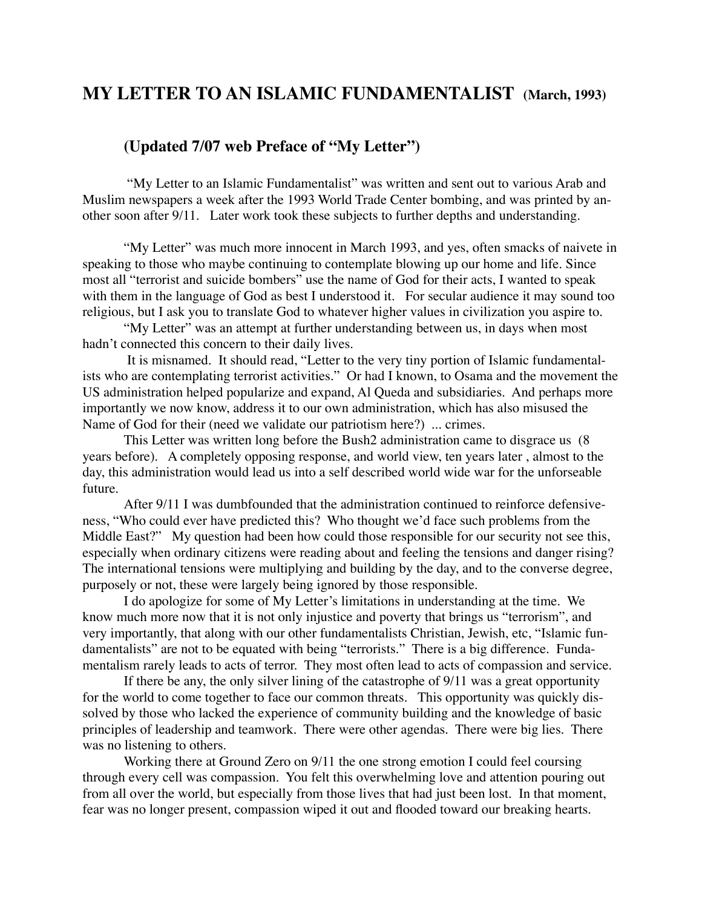## **MY LETTER TO AN ISLAMIC FUNDAMENTALIST (March, 1993)**

## **(Updated 7/07 web Preface of "My Letter")**

 "My Letter to an Islamic Fundamentalist" was written and sent out to various Arab and Muslim newspapers a week after the 1993 World Trade Center bombing, and was printed by another soon after 9/11. Later work took these subjects to further depths and understanding.

"My Letter" was much more innocent in March 1993, and yes, often smacks of naivete in speaking to those who maybe continuing to contemplate blowing up our home and life. Since most all "terrorist and suicide bombers" use the name of God for their acts, I wanted to speak with them in the language of God as best I understood it. For secular audience it may sound too religious, but I ask you to translate God to whatever higher values in civilization you aspire to.

"My Letter" was an attempt at further understanding between us, in days when most hadn't connected this concern to their daily lives.

 It is misnamed. It should read, "Letter to the very tiny portion of Islamic fundamentalists who are contemplating terrorist activities." Or had I known, to Osama and the movement the US administration helped popularize and expand, Al Queda and subsidiaries. And perhaps more importantly we now know, address it to our own administration, which has also misused the Name of God for their (need we validate our patriotism here?) ... crimes.

This Letter was written long before the Bush2 administration came to disgrace us (8 years before). A completely opposing response, and world view, ten years later , almost to the day, this administration would lead us into a self described world wide war for the unforseable future.

After 9/11 I was dumbfounded that the administration continued to reinforce defensiveness, "Who could ever have predicted this? Who thought we'd face such problems from the Middle East?" My question had been how could those responsible for our security not see this, especially when ordinary citizens were reading about and feeling the tensions and danger rising? The international tensions were multiplying and building by the day, and to the converse degree, purposely or not, these were largely being ignored by those responsible.

I do apologize for some of My Letter's limitations in understanding at the time. We know much more now that it is not only injustice and poverty that brings us "terrorism", and very importantly, that along with our other fundamentalists Christian, Jewish, etc, "Islamic fundamentalists" are not to be equated with being "terrorists." There is a big difference. Fundamentalism rarely leads to acts of terror. They most often lead to acts of compassion and service.

If there be any, the only silver lining of the catastrophe of 9/11 was a great opportunity for the world to come together to face our common threats. This opportunity was quickly dissolved by those who lacked the experience of community building and the knowledge of basic principles of leadership and teamwork. There were other agendas. There were big lies. There was no listening to others.

Working there at Ground Zero on 9/11 the one strong emotion I could feel coursing through every cell was compassion. You felt this overwhelming love and attention pouring out from all over the world, but especially from those lives that had just been lost. In that moment, fear was no longer present, compassion wiped it out and flooded toward our breaking hearts.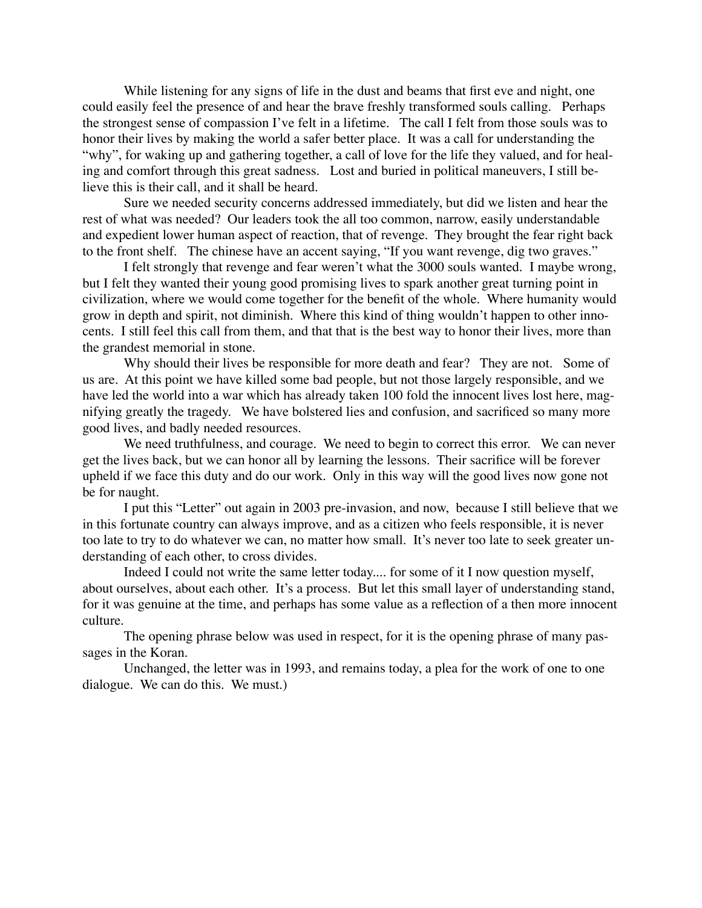While listening for any signs of life in the dust and beams that first eve and night, one could easily feel the presence of and hear the brave freshly transformed souls calling. Perhaps the strongest sense of compassion I've felt in a lifetime. The call I felt from those souls was to honor their lives by making the world a safer better place. It was a call for understanding the "why", for waking up and gathering together, a call of love for the life they valued, and for healing and comfort through this great sadness. Lost and buried in political maneuvers, I still believe this is their call, and it shall be heard.

Sure we needed security concerns addressed immediately, but did we listen and hear the rest of what was needed? Our leaders took the all too common, narrow, easily understandable and expedient lower human aspect of reaction, that of revenge. They brought the fear right back to the front shelf. The chinese have an accent saying, "If you want revenge, dig two graves."

I felt strongly that revenge and fear weren't what the 3000 souls wanted. I maybe wrong, but I felt they wanted their young good promising lives to spark another great turning point in civilization, where we would come together for the benefit of the whole. Where humanity would grow in depth and spirit, not diminish. Where this kind of thing wouldn't happen to other innocents. I still feel this call from them, and that that is the best way to honor their lives, more than the grandest memorial in stone.

Why should their lives be responsible for more death and fear? They are not. Some of us are. At this point we have killed some bad people, but not those largely responsible, and we have led the world into a war which has already taken 100 fold the innocent lives lost here, magnifying greatly the tragedy. We have bolstered lies and confusion, and sacrificed so many more good lives, and badly needed resources.

We need truthfulness, and courage. We need to begin to correct this error. We can never get the lives back, but we can honor all by learning the lessons. Their sacrifice will be forever upheld if we face this duty and do our work. Only in this way will the good lives now gone not be for naught.

I put this "Letter" out again in 2003 pre-invasion, and now, because I still believe that we in this fortunate country can always improve, and as a citizen who feels responsible, it is never too late to try to do whatever we can, no matter how small. It's never too late to seek greater understanding of each other, to cross divides.

Indeed I could not write the same letter today.... for some of it I now question myself, about ourselves, about each other. It's a process. But let this small layer of understanding stand, for it was genuine at the time, and perhaps has some value as a reflection of a then more innocent culture.

The opening phrase below was used in respect, for it is the opening phrase of many passages in the Koran.

Unchanged, the letter was in 1993, and remains today, a plea for the work of one to one dialogue. We can do this. We must.)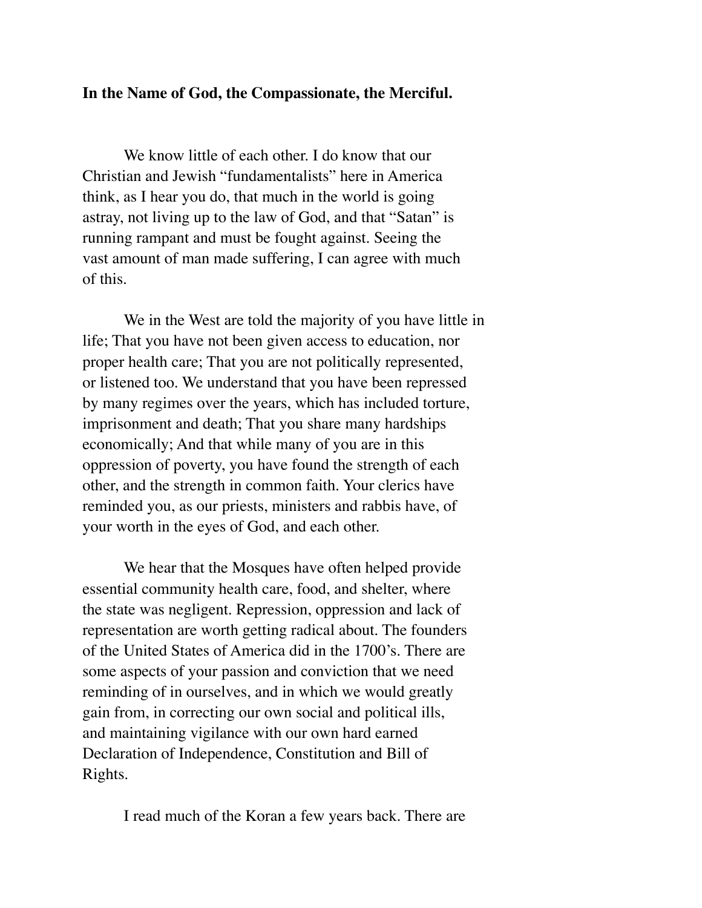## **In the Name of God, the Compassionate, the Merciful.**

We know little of each other. I do know that our Christian and Jewish "fundamentalists" here in America think, as I hear you do, that much in the world is going astray, not living up to the law of God, and that "Satan" is running rampant and must be fought against. Seeing the vast amount of man made suffering, I can agree with much of this.

We in the West are told the majority of you have little in life; That you have not been given access to education, nor proper health care; That you are not politically represented, or listened too. We understand that you have been repressed by many regimes over the years, which has included torture, imprisonment and death; That you share many hardships economically; And that while many of you are in this oppression of poverty, you have found the strength of each other, and the strength in common faith. Your clerics have reminded you, as our priests, ministers and rabbis have, of your worth in the eyes of God, and each other.

We hear that the Mosques have often helped provide essential community health care, food, and shelter, where the state was negligent. Repression, oppression and lack of representation are worth getting radical about. The founders of the United States of America did in the 1700's. There are some aspects of your passion and conviction that we need reminding of in ourselves, and in which we would greatly gain from, in correcting our own social and political ills, and maintaining vigilance with our own hard earned Declaration of Independence, Constitution and Bill of Rights.

I read much of the Koran a few years back. There are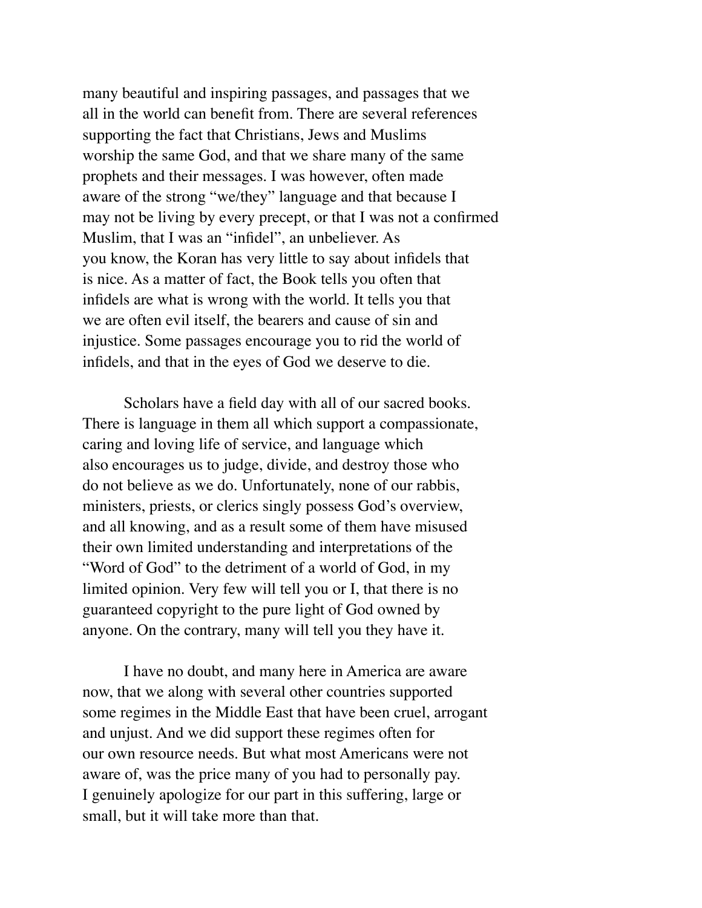many beautiful and inspiring passages, and passages that we all in the world can benefit from. There are several references supporting the fact that Christians, Jews and Muslims worship the same God, and that we share many of the same prophets and their messages. I was however, often made aware of the strong "we/they" language and that because I may not be living by every precept, or that I was not a confirmed Muslim, that I was an "infidel", an unbeliever. As you know, the Koran has very little to say about infidels that is nice. As a matter of fact, the Book tells you often that infidels are what is wrong with the world. It tells you that we are often evil itself, the bearers and cause of sin and injustice. Some passages encourage you to rid the world of infidels, and that in the eyes of God we deserve to die.

Scholars have a field day with all of our sacred books. There is language in them all which support a compassionate, caring and loving life of service, and language which also encourages us to judge, divide, and destroy those who do not believe as we do. Unfortunately, none of our rabbis, ministers, priests, or clerics singly possess God's overview, and all knowing, and as a result some of them have misused their own limited understanding and interpretations of the "Word of God" to the detriment of a world of God, in my limited opinion. Very few will tell you or I, that there is no guaranteed copyright to the pure light of God owned by anyone. On the contrary, many will tell you they have it.

I have no doubt, and many here in America are aware now, that we along with several other countries supported some regimes in the Middle East that have been cruel, arrogant and unjust. And we did support these regimes often for our own resource needs. But what most Americans were not aware of, was the price many of you had to personally pay. I genuinely apologize for our part in this suffering, large or small, but it will take more than that.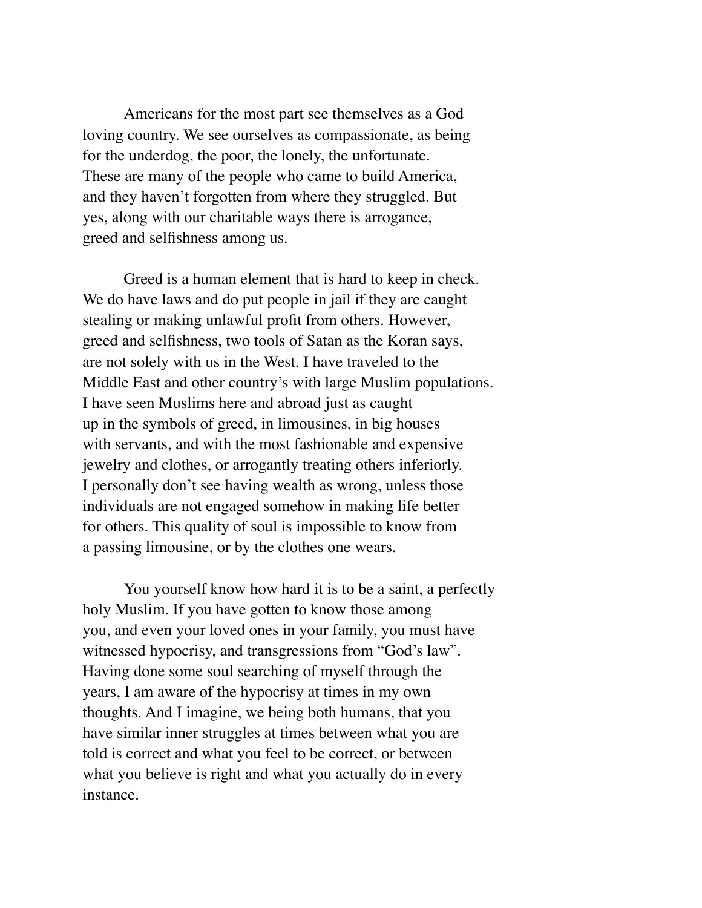Americans for the most part see themselves as a God loving country. We see ourselves as compassionate, as being for the underdog, the poor, the lonely, the unfortunate. These are many of the people who came to build America, and they haven't forgotten from where they struggled. But yes, along with our charitable ways there is arrogance, greed and selfishness among us.

Greed is a human element that is hard to keep in check. We do have laws and do put people in jail if they are caught stealing or making unlawful profit from others. However, greed and selfishness, two tools of Satan as the Koran says, are not solely with us in the West. I have traveled to the Middle East and other country's with large Muslim populations. I have seen Muslims here and abroad just as caught up in the symbols of greed, in limousines, in big houses with servants, and with the most fashionable and expensive jewelry and clothes, or arrogantly treating others inferiorly. I personally don't see having wealth as wrong, unless those individuals are not engaged somehow in making life better for others. This quality of soul is impossible to know from a passing limousine, or by the clothes one wears.

You yourself know how hard it is to be a saint, a perfectly holy Muslim. If you have gotten to know those among you, and even your loved ones in your family, you must have witnessed hypocrisy, and transgressions from "God's law". Having done some soul searching of myself through the years, I am aware of the hypocrisy at times in my own thoughts. And I imagine, we being both humans, that you have similar inner struggles at times between what you are told is correct and what you feel to be correct, or between what you believe is right and what you actually do in every instance.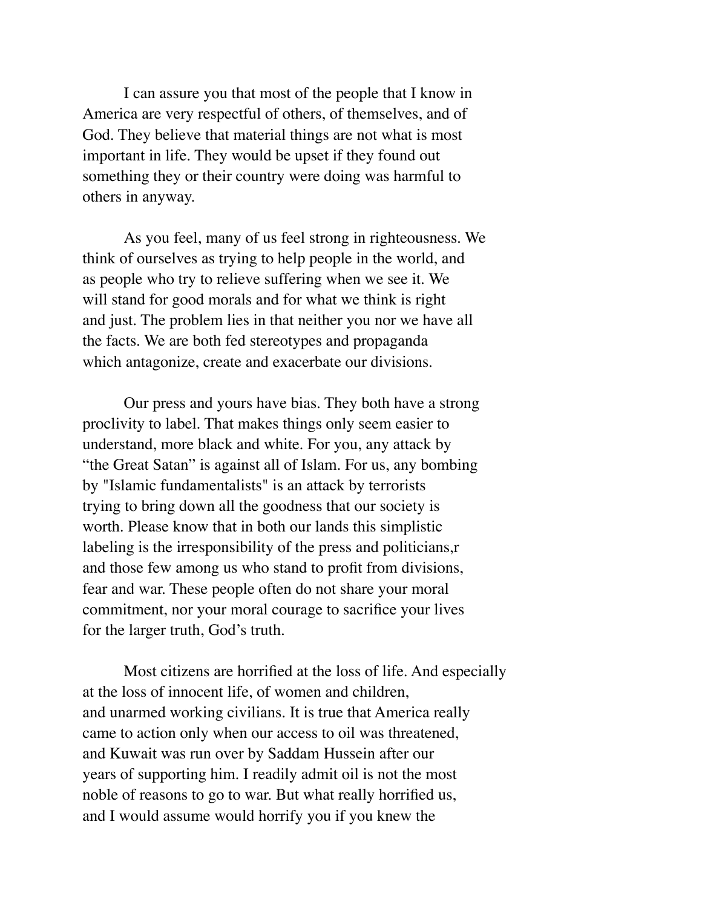I can assure you that most of the people that I know in America are very respectful of others, of themselves, and of God. They believe that material things are not what is most important in life. They would be upset if they found out something they or their country were doing was harmful to others in anyway.

As you feel, many of us feel strong in righteousness. We think of ourselves as trying to help people in the world, and as people who try to relieve suffering when we see it. We will stand for good morals and for what we think is right and just. The problem lies in that neither you nor we have all the facts. We are both fed stereotypes and propaganda which antagonize, create and exacerbate our divisions.

Our press and yours have bias. They both have a strong proclivity to label. That makes things only seem easier to understand, more black and white. For you, any attack by "the Great Satan" is against all of Islam. For us, any bombing by "Islamic fundamentalists" is an attack by terrorists trying to bring down all the goodness that our society is worth. Please know that in both our lands this simplistic labeling is the irresponsibility of the press and politicians,r and those few among us who stand to profit from divisions, fear and war. These people often do not share your moral commitment, nor your moral courage to sacrifice your lives for the larger truth, God's truth.

Most citizens are horrified at the loss of life. And especially at the loss of innocent life, of women and children, and unarmed working civilians. It is true that America really came to action only when our access to oil was threatened, and Kuwait was run over by Saddam Hussein after our years of supporting him. I readily admit oil is not the most noble of reasons to go to war. But what really horrified us, and I would assume would horrify you if you knew the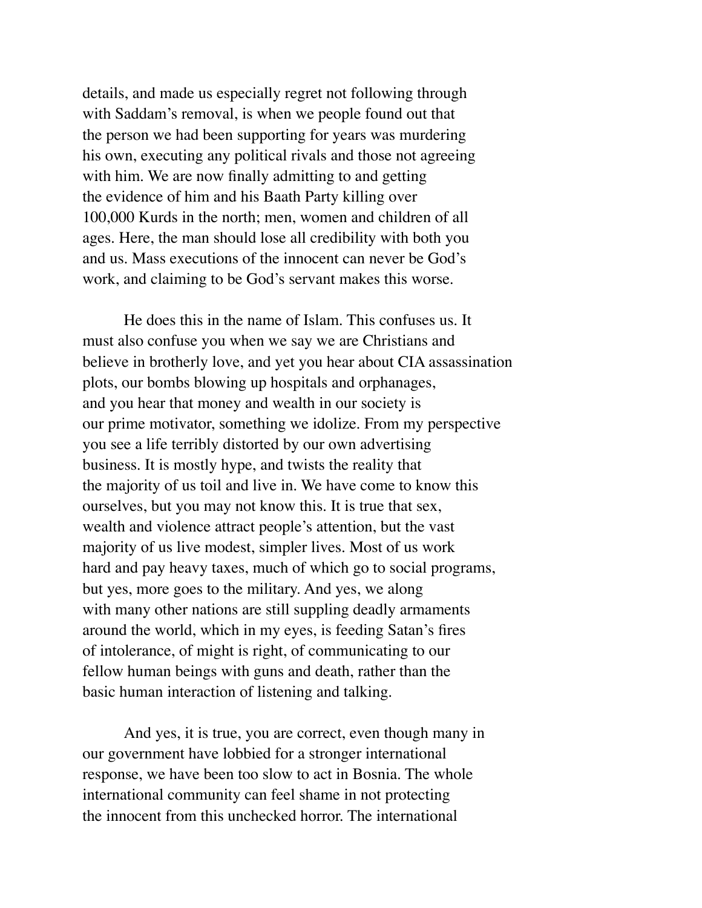details, and made us especially regret not following through with Saddam's removal, is when we people found out that the person we had been supporting for years was murdering his own, executing any political rivals and those not agreeing with him. We are now finally admitting to and getting the evidence of him and his Baath Party killing over 100,000 Kurds in the north; men, women and children of all ages. Here, the man should lose all credibility with both you and us. Mass executions of the innocent can never be God's work, and claiming to be God's servant makes this worse.

He does this in the name of Islam. This confuses us. It must also confuse you when we say we are Christians and believe in brotherly love, and yet you hear about CIA assassination plots, our bombs blowing up hospitals and orphanages, and you hear that money and wealth in our society is our prime motivator, something we idolize. From my perspective you see a life terribly distorted by our own advertising business. It is mostly hype, and twists the reality that the majority of us toil and live in. We have come to know this ourselves, but you may not know this. It is true that sex, wealth and violence attract people's attention, but the vast majority of us live modest, simpler lives. Most of us work hard and pay heavy taxes, much of which go to social programs, but yes, more goes to the military. And yes, we along with many other nations are still suppling deadly armaments around the world, which in my eyes, is feeding Satan's fires of intolerance, of might is right, of communicating to our fellow human beings with guns and death, rather than the basic human interaction of listening and talking.

And yes, it is true, you are correct, even though many in our government have lobbied for a stronger international response, we have been too slow to act in Bosnia. The whole international community can feel shame in not protecting the innocent from this unchecked horror. The international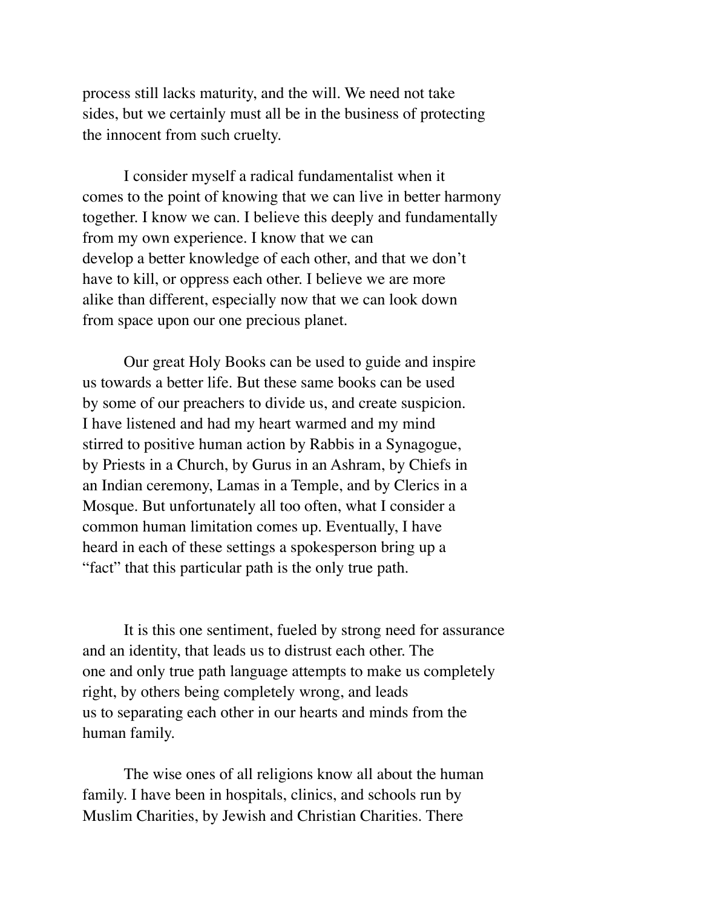process still lacks maturity, and the will. We need not take sides, but we certainly must all be in the business of protecting the innocent from such cruelty.

I consider myself a radical fundamentalist when it comes to the point of knowing that we can live in better harmony together. I know we can. I believe this deeply and fundamentally from my own experience. I know that we can develop a better knowledge of each other, and that we don't have to kill, or oppress each other. I believe we are more alike than different, especially now that we can look down from space upon our one precious planet.

Our great Holy Books can be used to guide and inspire us towards a better life. But these same books can be used by some of our preachers to divide us, and create suspicion. I have listened and had my heart warmed and my mind stirred to positive human action by Rabbis in a Synagogue, by Priests in a Church, by Gurus in an Ashram, by Chiefs in an Indian ceremony, Lamas in a Temple, and by Clerics in a Mosque. But unfortunately all too often, what I consider a common human limitation comes up. Eventually, I have heard in each of these settings a spokesperson bring up a "fact" that this particular path is the only true path.

It is this one sentiment, fueled by strong need for assurance and an identity, that leads us to distrust each other. The one and only true path language attempts to make us completely right, by others being completely wrong, and leads us to separating each other in our hearts and minds from the human family.

The wise ones of all religions know all about the human family. I have been in hospitals, clinics, and schools run by Muslim Charities, by Jewish and Christian Charities. There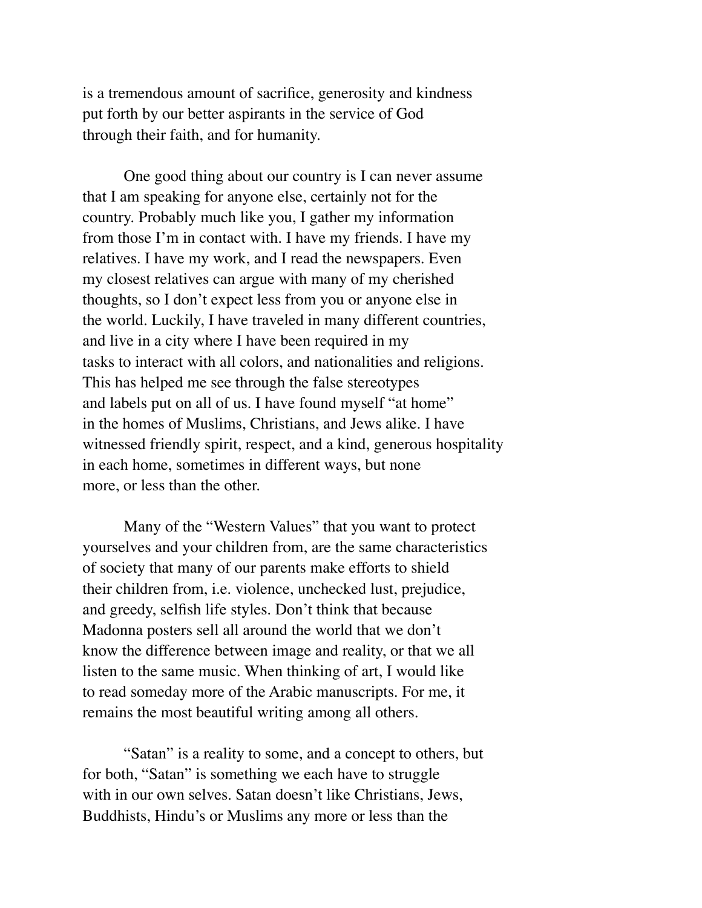is a tremendous amount of sacrifice, generosity and kindness put forth by our better aspirants in the service of God through their faith, and for humanity.

One good thing about our country is I can never assume that I am speaking for anyone else, certainly not for the country. Probably much like you, I gather my information from those I'm in contact with. I have my friends. I have my relatives. I have my work, and I read the newspapers. Even my closest relatives can argue with many of my cherished thoughts, so I don't expect less from you or anyone else in the world. Luckily, I have traveled in many different countries, and live in a city where I have been required in my tasks to interact with all colors, and nationalities and religions. This has helped me see through the false stereotypes and labels put on all of us. I have found myself "at home" in the homes of Muslims, Christians, and Jews alike. I have witnessed friendly spirit, respect, and a kind, generous hospitality in each home, sometimes in different ways, but none more, or less than the other.

Many of the "Western Values" that you want to protect yourselves and your children from, are the same characteristics of society that many of our parents make efforts to shield their children from, i.e. violence, unchecked lust, prejudice, and greedy, selfish life styles. Don't think that because Madonna posters sell all around the world that we don't know the difference between image and reality, or that we all listen to the same music. When thinking of art, I would like to read someday more of the Arabic manuscripts. For me, it remains the most beautiful writing among all others.

"Satan" is a reality to some, and a concept to others, but for both, "Satan" is something we each have to struggle with in our own selves. Satan doesn't like Christians, Jews, Buddhists, Hindu's or Muslims any more or less than the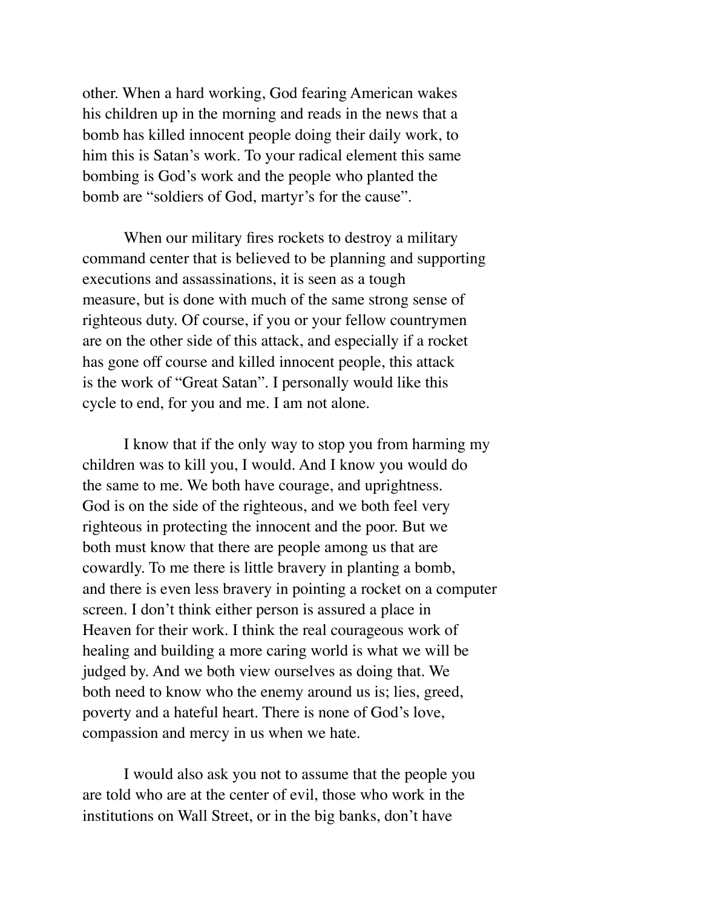other. When a hard working, God fearing American wakes his children up in the morning and reads in the news that a bomb has killed innocent people doing their daily work, to him this is Satan's work. To your radical element this same bombing is God's work and the people who planted the bomb are "soldiers of God, martyr's for the cause".

When our military fires rockets to destroy a military command center that is believed to be planning and supporting executions and assassinations, it is seen as a tough measure, but is done with much of the same strong sense of righteous duty. Of course, if you or your fellow countrymen are on the other side of this attack, and especially if a rocket has gone off course and killed innocent people, this attack is the work of "Great Satan". I personally would like this cycle to end, for you and me. I am not alone.

I know that if the only way to stop you from harming my children was to kill you, I would. And I know you would do the same to me. We both have courage, and uprightness. God is on the side of the righteous, and we both feel very righteous in protecting the innocent and the poor. But we both must know that there are people among us that are cowardly. To me there is little bravery in planting a bomb, and there is even less bravery in pointing a rocket on a computer screen. I don't think either person is assured a place in Heaven for their work. I think the real courageous work of healing and building a more caring world is what we will be judged by. And we both view ourselves as doing that. We both need to know who the enemy around us is; lies, greed, poverty and a hateful heart. There is none of God's love, compassion and mercy in us when we hate.

I would also ask you not to assume that the people you are told who are at the center of evil, those who work in the institutions on Wall Street, or in the big banks, don't have